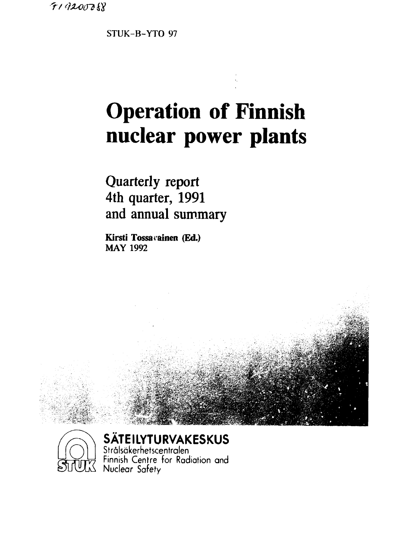*^r/^xoiTöm* 

**STUK-B-YTO 97** 

## **Operation of Finnish nuclear power plants**

**Quarterly report 4th quarter, 1991 and annual summary** 

**Kirsti Tossavainen (Ed.) MAY 1992** 





**SÄTEILYTURVAKESKUS** 

Strälsäkerhetscentralen  $\approx$   $\pi$  $\approx$   $\pi$  Finnish Centre for Radiation and වට Nuclear Safety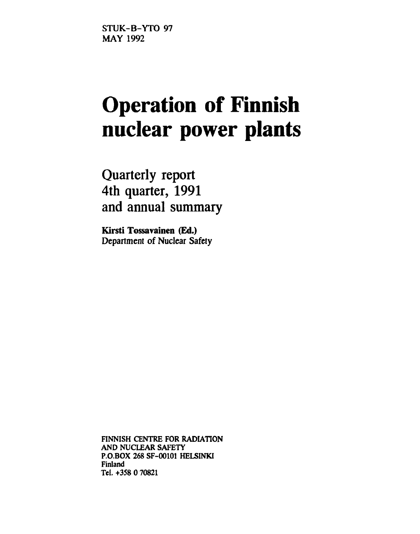**STUK-B-YTO 97 MAY 1992** 

# **Operation of Finnish nuclear power plants**

**Quarterly report 4th quarter, 1991 and annual summary** 

**Kirsti Tossavainen (Ed.) Department of Nuclear Safety** 

**FINNISH CENTRE FOR RADIATION AND NUCLEAR SAFETY P.O.BOX 268 SF-00101 HELSINKI Finland Tel. +358 0 70821**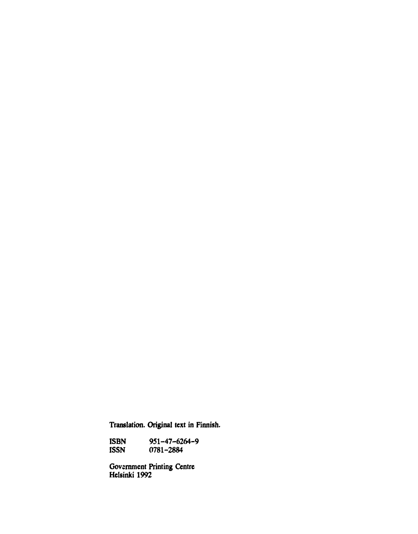**Translation. Original text in Finnish.** 

**ISBN 951-47-6264-9 ISSN 0781-2884** 

**Government Printing Centre Helsinki 1992**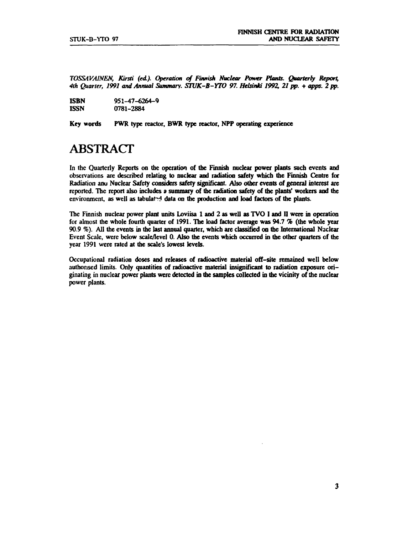*TOSSAVAINEN, Kirsti (ed). Operation of Finnish Nuclear Power Plants. Quarterly Report, 4th Quarter, 1991 and Annual Summary. STUK-B-YTO 97. Helsinki 1992, 21pp.* **+** *apps. 2 pp.* 

| <b>ISBN</b> | $951 - 47 - 6264 - 9$ |
|-------------|-----------------------|
| <b>ISSN</b> | 0781-2884             |

**Key words PWR type reactor, BWR type reactor, NPP operating experience** 

## **ABSTRACT**

**In the Quarterly Reports on the operation of the Finnish nuclear power plants such events and observations are described relating to nuclear and radiation safety which the Finnish Centre for Radiation anu Nuclear Safety considers safety significant. Also other events of general interest are reported. The report also includes a summary of the radiation safety of the plants' workers and the**  environment, as well as tabulated data on the production and load factors of the plants.

**The Finnish nuclear power plant units Loviisa 1 and 2 as well as TVO I and II were in operation for almost the whole fourth quarter of 1991. The load factor average was 94.7** *%* **(the whole year 90.9 %). All the events in the last annual quarter, which are classified on the International Nuclear Event Scale, were below scale/level 0. Also the events which occurred in the other quarters cf the year 1991 were rated at the scale's lowest levels.** 

**Occupational radiation doses and releases of radioactive material off-site remained well below authorised limits. Only quantities of radioactive material insignificant to radiation exposure originating in nuclear power plants were detected in the samples collected in the vicinity of the nuclear power plants.**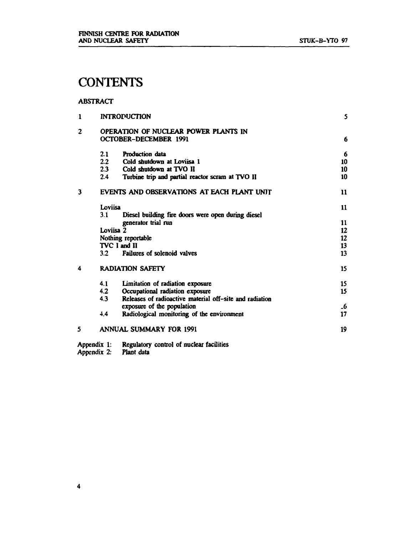## **CONTENTS**

#### **ABSTRACT**

| $\mathbf{1}$ |             | <b>INTROPUCTION</b>                                     | 5         |
|--------------|-------------|---------------------------------------------------------|-----------|
| 2            |             | OPERATION OF NUCLEAR POWER PLANTS IN                    |           |
|              |             | OCTOBER-DECEMBER 1991                                   | 6         |
|              | 2.1         | <b>Production data</b>                                  | 6         |
|              |             | 2.2 Cold shutdown at Loviisa 1                          | 10        |
|              |             | 2.3 Cold shutdown at TVO II                             | 10        |
|              | 2.4         | Turbine trip and partial reactor scram at TVO II        | 10        |
| 3            |             | EVENTS AND OBSERVATIONS AT EACH PLANT UNIT              | 11        |
|              | Loviisa     |                                                         | 11        |
|              | 3.1         | Diesel building fire doors were open during diesel      |           |
|              |             | generator trial run                                     | 11        |
|              | Loviisa 2   |                                                         | 12        |
|              |             | Nothing reportable                                      | 12        |
|              |             | TVC I and II                                            | 13        |
|              | 3.2         | Failures of solenoid valves                             | 13        |
| 4            |             | <b>RADIATION SAFETY</b>                                 | 15        |
|              | 4.1         | Limitation of radiation exposure                        | 15        |
|              | 4.2         | Occupational radiation exposure                         | 15        |
|              | 4.3         | Releases of radioactive material off-site and radiation |           |
|              |             | exposure of the population                              | $\cdot$ 6 |
|              | 4.4         | Radiological monitoring of the environment              | 17        |
| 5            |             | <b>ANNUAL SUMMARY FOR 1991</b>                          | 19        |
|              | Appendix 1: | Regulatory control of nuclear facilities                |           |

**Appendix 2: Plant data**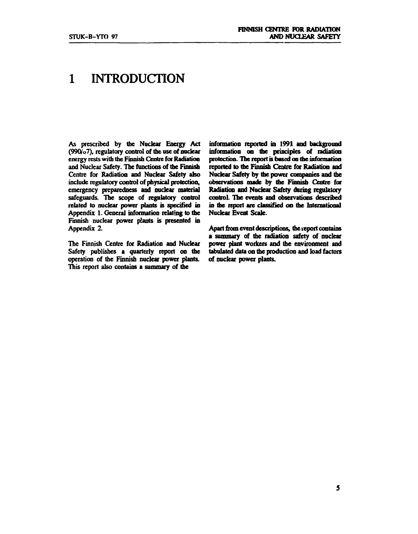## **1 INTRODUCTION**

**As prescribed by the Nuclear Energy Act (990/o7), regulatory control of tbe use of nuclear energy rests with the Finnish Centre for Radiation and Nuclear Safety. Tbe functions of tbe Finnish Centre for Radiation and Nuclear Safety also include regulatory control of physical protection, emergency preparedness and nuclear material safeguards. The scope of regulatory control related to nuclear power plants is specified in Appendix 1. General information relating to tbe Finnish nuclear power plants is presented in Appendix 2.** 

**The Finnish Centre for Radiation and Nuclear Safety publishes a quarterly report on the operation of the Finnish nuclear power plants. This report also contains a summary of the** 

**information reported in 1991 and background information on the principles of radiation protection. Tbe report is based on the information reported to tbe Finnish Centre for Radiation and Nuclear Safety by the power companies and the observations made by tbe Finnish Centre for Radiation and Nuclear Safety during regulatory control. The events and observations described in tbe report are classified oo tbe International Nuclear Event Scale.** 

**Apart from event descriptions, tbe report contains a summary of the radiation safety of nuclear power plant workers and the environment and tabulated data on the production and load factors of nuclear power plants.**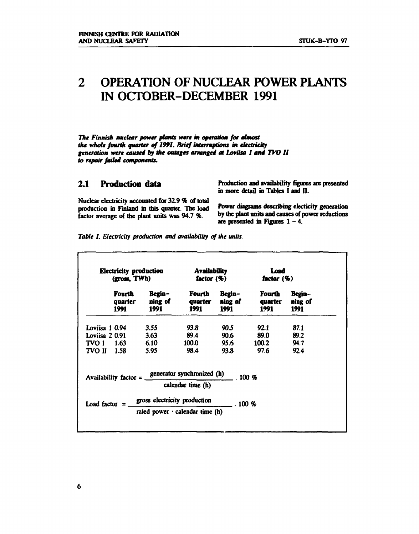## **2 OPERATION OF NUCLEAR POWER PLANTS IN OCTOBER-DECEMBER 1991**

*The Finnish nuclear power plants were in operation for almost the whole fourth quarter of 1991. Brief interruptions in electricity generation were caused by the outages arranged at Loviisa 1 and TVO II to repair failed components.* 

**2.1 Production data** Production and availability figures are presented in more detail in Tables I and II.

Nuclear electricity accounted for **32.9** % of total production in Finland in this quarter. The load factor average of the plant units was 94.7 %. <sup>by the plant units and causes of power reductions</sup>

Power diagrams describing electicity generation are presented in Figures  $1 - 4$ .

*Table I. Electricity production and availability of the units.* 

| Electricity production<br>(gross, TWh) |                           | Availability<br>factor $(\%)$                |                                                                             | Load<br>factor $($ % $)$ |                                   |                           |
|----------------------------------------|---------------------------|----------------------------------------------|-----------------------------------------------------------------------------|--------------------------|-----------------------------------|---------------------------|
|                                        | Fourth<br>quarter<br>1991 | Begin-<br>ning of<br>1991                    | quarter<br>1991 —                                                           | Fourth Begin-<br>1991    | Fourth<br>ning of quarter<br>1991 | Begin-<br>ning of<br>1991 |
| Loviisa 1 0.94                         |                           | 3.55                                         | 93.8 L                                                                      | 90.5                     | 92.1                              | 87.1                      |
| Loviisa 2 0.91                         |                           | 3.63                                         | <b>89.4</b>                                                                 | 90.6                     | <b>89.0</b>                       | 89.2                      |
| <b>TVO I</b> 1.63                      |                           | 6.10                                         | 100.0                                                                       | 95.6                     | 100.2                             | 94.7                      |
| <b>TVO II</b> 1.58                     |                           | 5.95                                         | 98.4                                                                        | <b>93.8</b>              | <b>97.6</b>                       | 92.4                      |
|                                        |                           |                                              | Availability factor = $\frac{\text{generator synchronized (h)}}{4}$ . 100 % |                          |                                   |                           |
|                                        |                           |                                              | calendar time (h)                                                           |                          |                                   |                           |
|                                        |                           | Load factor $=$ gross electricity production |                                                                             | $\pm$ . 100 %            |                                   |                           |
|                                        |                           |                                              | rated power $\cdot$ calendar time (h)                                       |                          |                                   |                           |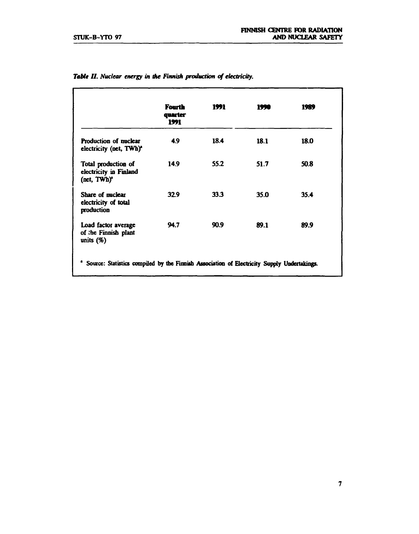|                                                                          | <b>Fourth</b><br>quarter<br>1991 | 1991 | 1990 | 1989 |
|--------------------------------------------------------------------------|----------------------------------|------|------|------|
| Production of nuclear<br>electricity (net, TWh) <sup>*</sup>             | 4.9                              | 18.4 | 18.1 | 18.0 |
| Total production of<br>electricity in Finland<br>(net, TWh) <sup>*</sup> | 14.9                             | 55.2 | 51.7 | 50.8 |
| Share of muclear<br>electricity of total<br>production                   | 32.9                             | 33.3 | 35.0 | 35.4 |
| Load factor average<br>of the Finnish plant<br>units $(\%)$              | 94.7                             | 90.9 | 89.1 | 89.9 |

|  |  |  |  | Table II. Nuclear energy in the Finnish production of electricity. |  |
|--|--|--|--|--------------------------------------------------------------------|--|
|  |  |  |  |                                                                    |  |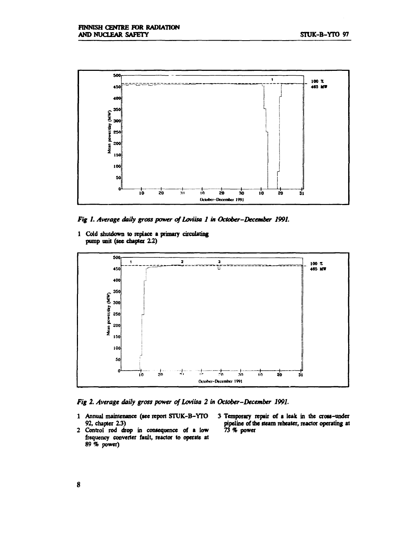

*Fig 1. Average daily gross power of Loviisa 1 in October-December 1991.* 

**1 Cold shutdown to replace a primary circulating pump unit (see chapter 2.2)** 



*Fig 2. Average daily gross power of Loviisa 2 in October-December 1991.* 

- **1 Annual maintenance (see report STUK-B-YTO 3 Temporary repair of a leak in the cross-under**
- 2 Control rod drop in consequence of a low **frequency converter fault, reactor to operate at 89 % power)**
- pipeline of the steam reheater, reactor operating at 73 % power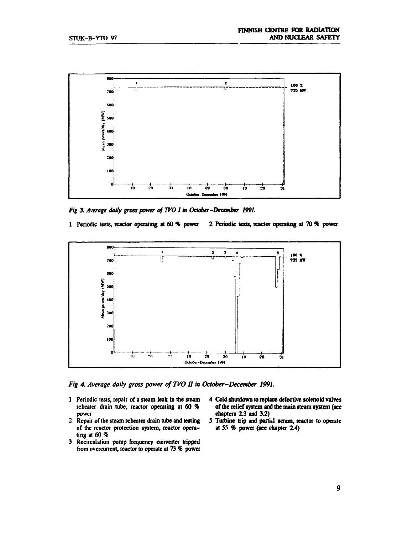

*Fig 3. Average daily gross power of TVOI in October-December 1991.* 

**1 Periodic tests, reactor operating at 60 % power 2 Periodic tests, reactor operating at 70** *%* **power** 



*Fig 4. Average daily gross power of TVO II in October-December 1991.* 

- 1 Periodic tests, repair of a steam leak in the steam 4 Cold shutdown to replace defective solenoid valves reheater drain tube, reactor operating at 60 % of the relief system and the main steam system (see
- of the reactor protection system, reactor opera**ting at 60 %**
- **3 Recirculation pump frequency converter tripped from ovcrcurrent, reactor to operate at 73 % power**
- **reheater drain tube, reactor operating at 60** *%* **of the relief system and the main steam system (see power chapters 2.3 and 3.2)**
- 2 Repair of the steam reheater drain tube and testing 5 Turbine trip and partial scram, reactor to operate of the reactor protection system, reactor opera-<br>at 55 % power (see chapter 2.4)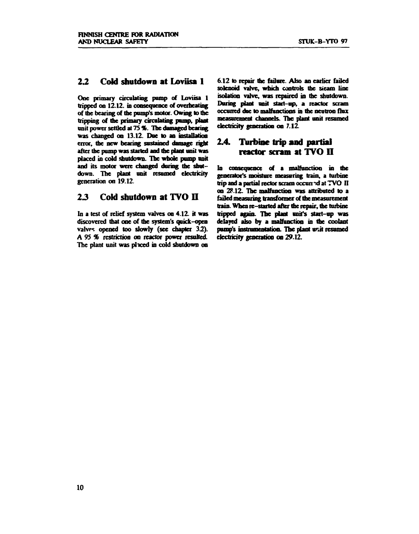#### *22* Cold shutdown at Loviisa 1

**One primary circulating pomp of Loviisa 1 tripped on 12.12. in consequence of overheating of the bearing of the pomp's motor. Owing to the tripping of the primary circulating pomp, plant unit power settled at 75%. The damaged bearing was changed on 13.12. Due to an installation error, the new bearing sustained damage right after the pump was started and the plant unit was placed in cold shutdown. The whole pump unit and its motor were changed during the shutdown. The plant unit resumed electricity generation on 19.12.** 

#### 2*3* Cold shutdown at TVO II

**In a test of relief system valves on 4.12. it was discovered that one of the system's quick-open valves opened too slowly (see chapter** *32).*  **A 95 % restriction on reactor power resulted. The plant unit was placed in cold shutdown on** 

**6.12 to repair the failure. Also an earlier failed solenoid valve, which controls the sieam line isolation valve, was repaired in the shutdown. Daring plant unit start-up, a reactor scram occurred due to malfunctions in the neutron flux measurement channels. The plant unit resumed electricity generation on 7.12** 

#### 2.4. Turbine trip **and** partial reactor scram at TVO II

**In consequence of a malfunction in the generator's moisture measuring train, a turbine**  trip and a partial rector scram occurred at TVO II **on 28.12. The malfunction was attributed to a failed measuring transformer of the measurement train. When re-started after the repair, the turbine tripped again. The plant unit's start-up was delayed also by a malfunction in the coolant pump's instrumentation. The plant unit resumed electricity generation on 29.12.**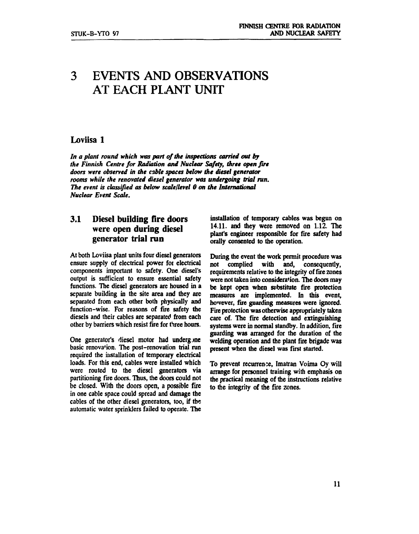## **3 EVENTS AND OBSERVATIONS AT EACH PLANT UNIT**

#### **Loviisa 1**

In a plant round which was part of the inspections carried out by *the Finnish Centre for Radiation and Nuclear Safety, three open fire doors were observed in the cable spaces below the diesel generator rooms while the renovated diesel generator was undergoing trial run. The event is classified as below scale/level 0 on the International Nuclear Event Scale.* 

#### **3.1 Diesel building fire doors were open during diesel generator trial run**

**At both Loviisa plant units four diesel generators ensure supply of electrical power for electrical components important to safety. One diesel's output is sufficient to ensure essential safety functions. The diesel generators are housed in a separate building in the site area and they are separated from each other both physically and function-wise. For reasons of fire safety the diesels and their cables are separated from each other by barriers which resist fire for three hours.** 

**One generator's diesel motor had undergine basic renovation. The post-renovation trial run required the installation of temporary electrical loads. For this end, cables were installed which were routed to the diesel generators via partitioning fire doors. Thus, the doors could not be closed. With the doors open, a possible fire in one cable space could spread and damage the cables of the other diesel generators, too, if the automatic water sprinklers failed to operate. The** 

**installation of temporary cables was begun on 14.11. and they were removed on 1.12. The plant's engineer responsible for fire safety had orally consented to the operation.** 

**During the event the work permit procedure was not complied with and, consequently, requirements relative to the integrity of fire zones were not taken into consideration. The doors may be kept open when substitute fire protection measures are implemented. In this event, however, fire guarding measures were ignored. Fire protection was otherwise appropriately taken care of. The fire detection and extinguishing systems were in normal standby. In addition, fire guarding was arranged for the duration of the welding operation and the plant fire brigade was present when the diesel was first started.** 

**To prevent recurrence, Imatran Voima Oy will arrange for personnel training with emphasis on the practical meaning of the instructions relative to the integrity of the fire zones.**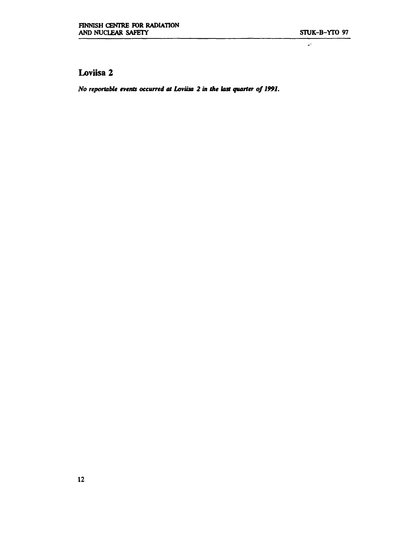$\mathbb{R}^2$ 

#### **Loviisa 2**

*No reportable events occurred at Loviisa 2 in the last quarter of 1991.*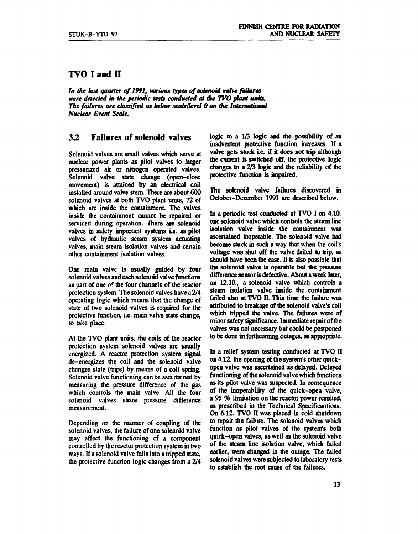#### **TVO I and H**

*In the last quarter of 1991, various types of solenoid valve failures were detected in the periodic tests conducted at the TVO plant units. The failures are classified as below scale/level 0 on the International Nuclear Event Scale.* 

#### **3.2 Failures of solenoid valves**

**Solenoid valves are small valves which serve at nuclear power plants as pilot valves to larger pressurized air or nitrogen operated valves. Solenoid valve state change (open-close movement) is attained by an electrical coil installed around valve stem. There are about 600 solenoid valves at both TVO plant units, 72 of which are inside the containment. The valves inside the containment cannot be repaired or serviced during operation. There are solenoid valves in safety important systems i.a. as pilot valves of hydraulic scram system actuating**  valves, main steam isolation valves and certain **other containment isolation valves.** 

**One main valve is usually guided by four solenoid valves and each solenoid valve functions as part of one of the four channels of the reactor protection system. The solenoid valves have a 2/4 operating logic which means that the change of state of two solenoid valves is required for the protective function, i.e. main valve state change, to take place.** 

**At the TVO plant units, the coils of the reactor protection system solenoid valves are usually energized. A reactor protection system signal de-energizes the coil and the solenoid valve changes state (trips) by means of a coil spring. Solenoid valve functioning can be ascertained by measuring the pressure difference of the gas which controls the main valve. All the four solenoid valves share pressure difference measurement.** 

**Depending on the manner of coupling of the solenoid valves, the failure of one solenoid valve may affect the functioning of a component controlled by the reactor protection system in two ways. If a solenoid valve fails into a tripped state, the protective function logic changes from a 2/4**  **logic to a 1/3 logic and the possibility of an inadvertent protective function increases. If a valve gets stuck i.e. if it does not trip although the current is switched off, the protective logic changes to a 2/3 logic and the reliability of the protective function is impaired.** 

**The solenoid valve failures discovered in October-December 1991 are described below.** 

**In a periodic test conducted at TVO I on 4.10. one solenoid valve which controls the steam line isolation valve inside the containment was ascertained inoperable. The solenoid valve had become stuck in such a way that when the coil's voltage was shut off the valve failed to trip, as should have been the case. It is also possible that the solenoid valve is operable but the pressure difference sensor is defective. About a week later, on 12.10., a solenoid valve which controls a steam isolation valve inside the containment failed also at TVO II. This time the failure was attributed to breakage of the solenoid valve's coil which tripped the valve. The failures were of minor safety significance. Immediate repair of the valves was not necessary but could be postponed to be done in forthcoming outages, as appropriate.** 

**In a relief system testing conducted at TVO II on 4.12. the opening of the system's other quickopen valve was ascertained as delayed. Delayed functioning of the solenoid valve which functions as its pilot valve was suspected. In consequence of the inoperability of the quick-open valve, a 95** *%* **limitation on the reactor power resulted, as prescribed in the Technical Specificantions. On 6.12. TVO II was placed in cold shutdown to repair the failure. The solenoid valves which function as pilot valves of the system's both quick-open valves, as well as the solenoid valve of the steam line isolation valve, which failed earlier, were changed in the outage. The failed solenoid valves were subjected to laboratory tests to establish the root cause of the failures.**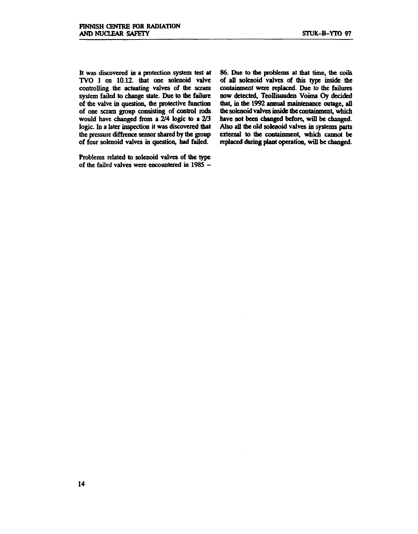**It was discovered in a protection system test at TVO I on 10.12. that one solenoid valve controlling the actuating valves of the scram system failed to change state. Due to the failure of the valve in question, the protective function of one scram group consisting of control rods would have changed from a 2/4 logic to a 2/3 logic. In a later inspection it was discovered that the pressure diffrence sensor shared by the group of four solenoid valves in question, had failed.** 

**Problems related to solenoid valves of the type of the failed valves were encountered in 1985 -**

**86. Due to the problems at that time, the coils of all solenoid valves of this type inside the containment were replaced. Due to the failures now detected, Teollisuuden Voima Oy decided that, in the 1992 annual maintenance outage, all the solenoid valves inside the containment, which have not been changed before, will be changed. Also all the old solenoid valves in systems parts external to the containment, which cannot be replaced during plant operation, will be changed.**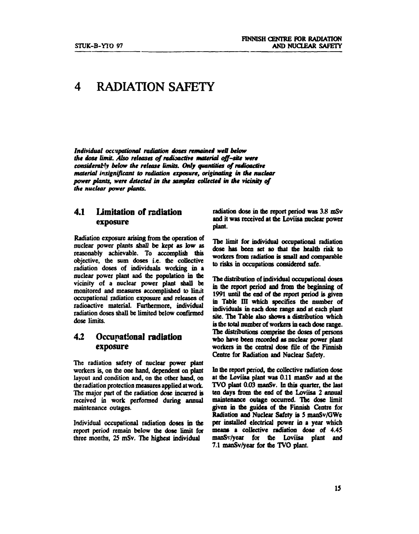## **4 RADIATION SAFETY**

*Individual occupational radiation doses remained well below the dose limit. Also releases of radioactive material off-site were considerably below the release limits. Only quantities of radioactive material insignificant to radiation exposure, originating in the nuclear power plants, were detected in the samples collected in the vicinity of the nuclear power plants.* 

#### **4.1 Limitation of radiation exposure**

**Radiation exposure arising from the operation of nuclear power plants shall be kept as low as reasonably achievable. To accomplish this objective, the sum doses i.e. the collective radiation doses of individuals working in a nuclear power plant and the population in the vicinity of a nuclear power plant shall be monitored and measures accomplished to limit occupational radiation exposure and releases of radioactive material. Furthermore, individual radiation doses shall be limited below confirmed dose limits.** 

#### **4.2 Occupational radiation exposure**

**The radiation safety of nuclear power plant workers is, on the one hand, dependent on plant layout and condition and, on the other hand, on the radiation protection measures applied at work. The major part of the radiation dose incurred is received in work performed during annual maintenance outages.** 

**Individual occupational radiation doses in the report period remain below the dose limit for three months, 25 mSv. The highest individual** 

**radiation dose in the report period was 3.8 mSv and it was received at the Loviisa nuclear power plant.** 

**The limit for individual occupational radiation**  dose has been set so that the health risk to **workers from radiation is small and comparable to risks in occupations considered safe.** 

**The distribution of individual occupational doses in the report period and from the beginning of 1991 until the end of the report period is given in Table III which specifies the number of individuals in each dose range and at each plant site. The Table also shows a distribution which is the total number of workers in each dose range. The distributions comprise the doses of persons who have been recorded as nuclear power plant workers in the central dose file of the Finnish Centre for Radiation and Nuclear Safety.** 

**In the report period, the collective radiation dose at the Loviisa plant was 0.11 manSv and at the TVO plant 0.03 manSv. In this quarter, the last ten days from the end of ihe Loviisa 2 annual maintenance outage occurred. The dose limit given in the guides of the Finnish Centre for Radiation and Nuclear Safety is 5 manSv/GWe per installed electrical power in a year which means a collective radiation dose of 4.45 manSv/year for the Loviisa plant and 7.1 manSv/year for the TVO plant.**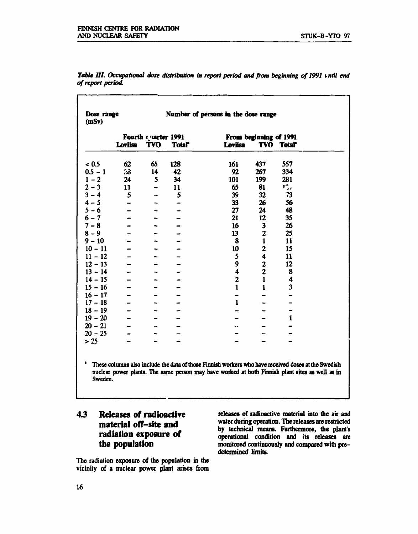| Dose range<br>(mSv) |         |                                   |              | Number of persons in the dose range |                         |                      |
|---------------------|---------|-----------------------------------|--------------|-------------------------------------|-------------------------|----------------------|
|                     | Loviisa | Fourth Cuarter 1991<br><b>TVO</b> | <b>Total</b> | Loviisa                             | From beginning of 1991  | <b>TVO Total</b>     |
| < 0.5               | 62      | 65                                | 128          | 161                                 | 437                     | 557                  |
| $0.5 - 1$           | 33      | 14                                | 42           | 92                                  | 267                     | 334                  |
| $1 - 2$             | 24      | 5                                 | 34           | 101                                 | 199                     | 281                  |
| $2 - 3$             | 11      | -                                 | 11           | 65                                  | 81                      | $1^\circ$ ,          |
| $3 - 4$             | 5       | $\overline{\phantom{0}}$          | 5            | 39                                  | 32                      | 73                   |
| $4 - 5$             | -       | -                                 | -            | 33                                  | 26                      | 56                   |
| $5 - 6$             |         |                                   |              | 27                                  | 24                      | 48                   |
| $6 - 7$             |         |                                   |              | 21                                  | 12                      | 35                   |
| $7 - 8$             |         |                                   |              | 16                                  | $\mathbf{3}$            | 26                   |
| $8 - 9$             |         |                                   |              | 13                                  | $\mathbf{2}$            | 25                   |
| $9 - 10$            |         |                                   |              | 8                                   | $\mathbf{1}$            | 11                   |
| $10 - 11$           |         |                                   |              | 10                                  | $\overline{c}$          | 15                   |
| $11 - 12$           |         |                                   |              | 5                                   | 4                       | 11                   |
| $12 - 13$           |         |                                   |              | 9                                   | $\overline{\mathbf{c}}$ | 12                   |
| $13 - 14$           |         |                                   |              | $\ddot{\mathbf{4}}$                 | $\overline{c}$          | 8                    |
| $14 - 15$           |         |                                   |              | $\mathbf{2}$                        | $\mathbf 1$             | $\ddot{\phantom{0}}$ |
| $15 - 16$           |         |                                   |              | $\mathbf{1}$                        | $\mathbf{1}$            | 3                    |
| $16 - 17$           |         |                                   |              |                                     |                         |                      |
| $17 - 18$           |         |                                   |              | $\mathbf{1}$                        |                         |                      |
| $18 - 19$           |         |                                   |              |                                     |                         |                      |
| $19 - 20$           |         |                                   |              |                                     |                         | $\mathbf{1}$         |
| $20 - 21$           |         |                                   |              |                                     |                         |                      |
| $20 - 25$           |         |                                   |              |                                     |                         |                      |
| $>25$               |         |                                   |              |                                     |                         |                      |

*Table UI. Occupational dose distribution in report period and from beginning of 1991 until end of report period.* 

These columns also include the data of those Finnish workers who have received doses at the Swedish nuclear power plants . The same person may have worked at both Finnish plant sites as well as in Sweden.

#### *43* **Releases of radioactive material off-site and radiation exposure of the population**

**The radiation exposure of the population in the vicinity of a nuclear power plant arises from** 

**releases of radioactive material into the air and water during operation. The releases are restricted by technical means. Furthermore, the plant's operational condition and its releases are monitored continuously and compared with predetermined limits.**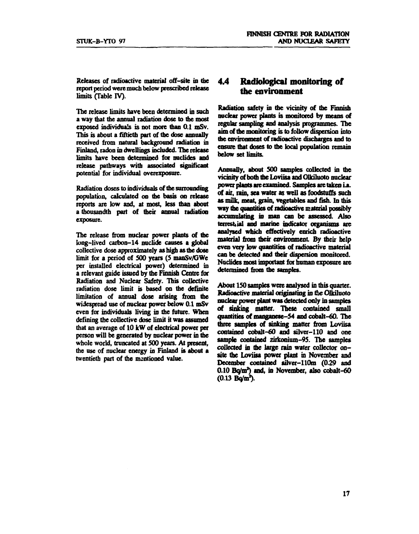**Releases of radioactive material off-site in the report period were much below prescribed release limits (Table IV).** 

**The release limits have been determined in such a way that the annual radiation dose to the most exposed individuals is not more than 0.1 mSv. This is about a fiftieth part of the dose annually received from natural background radiation in Finland, radon in dwellings included. The release limits have been determined for nuclides and release pathways with associated significant potential for individual overexposure.** 

**Radiation doses to individuals of the surrounding population, calculated on the basis on release reports are low and, at most, less than about**  a thousandth part of their annual radiation **exposure.** 

**The release from nuclear power plants of the long-lived carbon-14 nuclide causes a global collective dose approximately as high as the dose limit for a period of 500 years (5 manSv/GWe per installed electrical power) determined in a relevant guide issued by the Finnish Centre for Radiation and Nuclear Safety. This collective radiation dose limit is based on the definite limitation of annual dose arising from the widespread use of nuclear power below 0.1 mSv even for individuals living in the future. When defining the collective dose limit it was assumed that an average of 10 kW of electrical power per person will be generated by nuclear power in the whole world, truncated at 500 years. At present, the use of nuclear energy in Finland is about a twentieth part of the mentioned value.** 

#### **4.4 Radiological monitoring of the environment**

**Radiation safety in the vicinity of the Finnish nuclear power plants is monitored by means of regular sampling and analysis programmes. The aim of the monitoring is to follow dispersion into the environment of radioactive discharges and to ensure that doses to the local population remain below set limits.** 

**Annually, about 500 samples collected in the vicinity of both the Loviisa and Olkiluoto nuclear power plants are examined. Samples are taken i.a. of air, rain, sea water as well as foodstuffs such as milk, meat, grain, vegetables and fish. In mis way the quantities of radioactive material possibly accumulating in man can be assessed. Also**  terrest, ial and marine indicator organisms are **analysed which effectively enrich radioactive material from their environment. By their help even very low quantities of radioactive material can be detected and their dispersion monitored. Nuclides most important for human exposure are determined from the samples.** 

**About 150 samples were analysed in this quarter. Radioactive material originating in the Olkiluoto nuclear power plant was detected only in samples of sinking matter. These contained small quantities of manganese-54 and cobalt-60. The three samples of sinking matter from Loviisa contained cobalt-60 and silver-110 and one sample contained zirkonium-95. The samples collected in the large rain water collector onsite the Loviisa power plant in November and December contained silver-HOm (0.29 and 0.10 Bq/m<sup>2</sup> ) and, in November, also cobalt-60 (0.13 Bq/m<sup>1</sup> ).**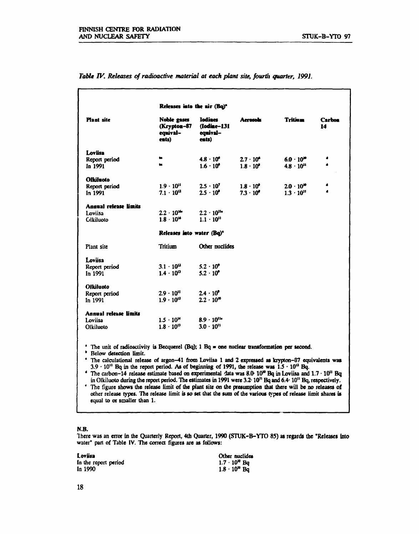|                                                             | Releases into the air (Bq) <sup>o</sup>         |                                             |                                          |                                            |                     |
|-------------------------------------------------------------|-------------------------------------------------|---------------------------------------------|------------------------------------------|--------------------------------------------|---------------------|
| <b>Plant</b> site                                           | Noble gases<br>(Krypton-87<br>equival-<br>ents) | Iodines<br>(Iodine-131<br>equival-<br>ents) | <b>Aerosols</b>                          | <b>Tritiam</b>                             | <b>Carbon</b><br>14 |
| Loviisa<br>Report period<br>In 1991                         | ts.<br>te.                                      | $4.8 \cdot 10^{4}$<br>$1.6 \cdot 10^{5}$    | $2.7 \cdot 10^4$<br>$1.8 \cdot 10^{4}$   | $6.0 \cdot 10^{10}$<br>$4.8 \cdot 10^{11}$ | $\bullet$           |
| Olkiluoto<br>Report period<br>In 1991                       | $1.9 \cdot 10^{11}$<br>$7.1 \cdot 10^{12}$      | $2.5 \cdot 10^{7}$<br>$2.5 \cdot 10^{6}$    | $1.8 \cdot 10^{5}$<br>$7.3 \cdot 10^{5}$ | $2.0 \cdot 10^{10}$<br>$1.3 \cdot 10^{11}$ | 4<br>$\bullet$      |
| <b>Annual release limits</b><br>Loviisa<br><b>Glkiluoto</b> | $2.2 \cdot 10^{14}$<br>$1.8 \cdot 10^{16}$      | $2.2 \cdot 10^{14}$<br>$1.1 \cdot 10^{11}$  |                                          |                                            |                     |
|                                                             | Releases into water (Bq)*                       |                                             |                                          |                                            |                     |
| Plant site                                                  | Tritium                                         | Other nuclides                              |                                          |                                            |                     |
| Loviisa<br>Report period<br>In 1991                         | $3.1 \cdot 10^{12}$<br>$1.4 \cdot 10^{13}$      | $5.2 \cdot 10^{9}$<br>$5.2 \cdot 10^{9}$    |                                          |                                            |                     |
| <b>Olkiluoto</b><br>Report period<br>In 1991                | $2.9 \cdot 10^{11}$<br>$1.9 \cdot 10^{12}$      | $24 \cdot 10^{9}$<br>$2.2 \cdot 10^{10}$    |                                          |                                            |                     |
| <b>Annual release limits</b><br>Loviisa<br>Olkiluoto        | $1.5 \cdot 10^{14}$<br>$1.8 \cdot 10^{13}$      | $8.9 \cdot 10^{11}$<br>$3.0 \cdot 10^{11}$  |                                          |                                            |                     |

*Table IV. Releases of radioactive material at each plant site, fourth quarter, 1991.* 

<sup>\*</sup> The unit of radioactivity is Becquerel (Bq); 1 Bq = one nuclear transformation per second.

**\* Below detection limit.** 

**\* The calculationai release of argon-41 from Loviisa 1 and 2 expressed as krypton-87 equivalents was 3.9 -10" Bq in the report period. As of beginning of 1991, the release was 1.5 • 10" Bq.** 

**\* The carbon-14 release estimate based on experimental data was 8.0-10» Bq in Loviisa and 1.7 -10" Bq in Olkiluoto during the report period. The estimates in 1991 were 3.2-10" Bq and 6.4-10" Bq, respectively. \* The figure shows the release limit of the plant site on the presumption that there will be no releases of** 

**other release types. The release limit is so set that the sum of the various types of release limit shares is equal to or smaller than 1.** 

#### **N.B.**

There was an **error in** the Quarterly **Report, 4th Quarter, 1990 (STUK-B-YTO 85) as regards the "Releases into**  water" part of Table IV. The correct figures **are as follows:** 

**Loviisa Other nuclides**  In the report period<br>In 1990  $1.7 \cdot 10^{10}$  Bq<br>1.8  $\cdot 10^{10}$  Bq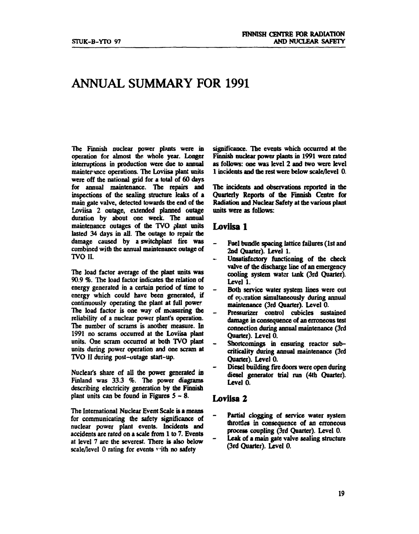## **ANNUAL SUMMARY FOR 1991**

**The Finnish nuclear power plants were in operation for almost the whole year. Longer interruptions in production were due to annual maimer Hnce operations. The Loviisa plant units were off the national grid for a total of 60 days for annual maintenance. The repairs and inspections of the sealing structure leaks of a main gate valve, detected towards the end of the Loviisa 2 outage, extended planned outage duration by about one week. The annual maintenance outages of the TVO plant units lasted 34 days in all. The outage to repair the damage caused by a switchplant fire was combined with the annual maintenance outage of TVO II.** 

**The load factor average of the plant units was 90.9 %. The load factor indicates the relation of energy generated in a certain period of time to energy which could have been generated, if continuously operating the plant at full power The load factor is one way of measuring the reliability of a nuclear power plant's operation. The number of scrams is another measure. In 1991 no scrams occurred at the Loviisa plant units. One scram occurred at both TVO plant units during power operation and one scram at TVO II during post-outage start-up.** 

**Nuclear's share of all the power generated in Finland was 33.3** *%.* **The power diagrams describing electricity generation by the Finnish plant units can be found in Figures 5-8 .** 

**The International Nuclear Event Scale is a means for communicating the safety significance of nuclear power plant events. Incidents and accidents are rated on a scale from 1 to 7. Events at level 7 are the severest. There is also below scale/level 0 rating for events ' ith no safety** 

**significance. The events which occurred at the Finnish nuclear power plants in 1991 were rated as follows: one was level 2 and two were level 1 incidents and the rest were below scale/level 0.** 

**The incidents and observations reported in the Quarterly Reports of the Finnish Centre for Radiation and Nuclear Safety at the various plant units were as follows:** 

#### **Loviisa 1**

- **Fuel bundle spacing lattice failures (1st and 2nd Quarter). Level 1.**
- **Unsatisfactory functioning of the check valve of the discharge line of an emergency cooling system water tank (3rd Quarter). Level 1.**
- **Both service water system lines were out of operation simultaneously during annual maintenance (3rd Quarter). Level 0.**
- **Pressurizer control cubicles sustained damage in consequence of an erroneous test connection during annual maintenance (3rd Quarter). Level 0.**
- **Shortcomings in ensuring reactor subcriticality during annual maintenance (3rd Quarter). Level 0.**
- **Diesel building fire doors were open during diesel generator trial run (4th Quarter). Level 0.**

#### **Loviisa 2**

- **Partial clogging of service water system throttles in consequence of an erroneous process coupling (3rd Quarter). Level 0.**
- **Leak of a main gate valve sealing structure (3rd Quarter). Level 0.**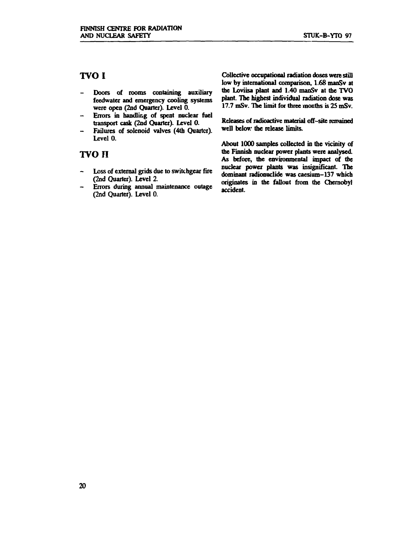#### **TVOI**

- **Doors of rooms containing auxiliary feedwater and emergency cooling systems were open (2nd Quarter). Level 0.**
- **Errors in handling of spent nuclear fuel**   $\rightarrow$ **transport cask (2nd Quarter). Level 0.**
- **Failures of solenoid valves (4th Quarter).**   $\rightarrow$ **Level 0.**

#### **TVO n**

- **Loss of external grids due to switchgear fire (2nd Quarter). Level 2.**
- **Errors during annua] maintenance outage (2nd Quarter). Level 0.**

**Collective occupational radiation doses were still low by international comparison, 1.68 manSv at the Loviisa plant and 1.40 manSv at the TVO plant. The highest individual radiation dose was 17.7 mSv. The limit for three months is 25 mSv.** 

**Releases of radioactive material off-site remained**  well below the release limits.

**About 1000 samples collected in the vicinity of the Finnish nuclear power plants were analysed. As before, the environmental impact of the nuclear power plants was insignificant. The dominant radionuclide was caesium-137 which originates in the fallout from the Chernobyl accident.**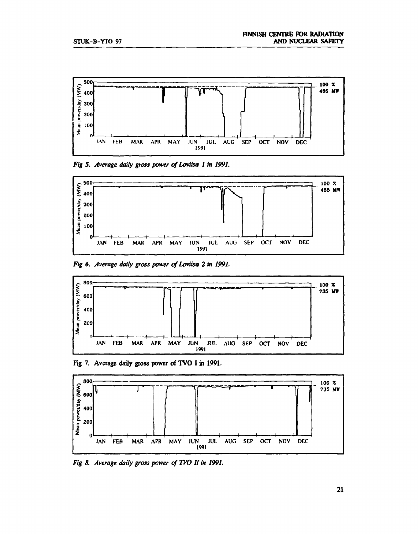

*Fig 5. Average daily gross power of Loviisa 1 in 1991.* 



*Fig 6. Average daily gross power of Loviisa 2 in 1991.* 



**Fig 7. Average daily gross power of TVO I in 1991.** 



*Fig 8. Average daily gross power of TVO If in 1991.*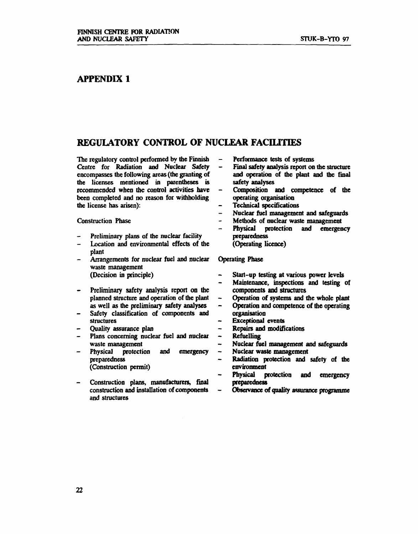#### **APPENDIX 1**

#### **REGULATORY CONTROL OF NUCLEAR FACILITIES**

**The regulatory control performed by the Finnish Centre for Radiation and Nuclear Safety encompasses the following areas (the granting of the licenses mentioned in parentheses is recommended when the control activities have been completed and no reason for withholding the license has arisen):** 

**Construction Phase** 

- **Preliminary plans of the nuclear facility**
- **Location and environmental effects of the plant**
- **Arrangements for nuclear fuel and nuclear waste management (Decision in principle)**
- **Preliminary safety analysis report on the planned structure and operation of the plant as well as the preliminary safety analyses**
- **Safety classification of components and structures**
- **Quality assurance plan**
- **Plans concerning nuclear fuel and nuclear waste management**
- **Physical protection and emergency preparedness (Construction permit)**
- **Construction plans, manufacturers, final construction and installation of components and structures**
- **Performance tests of systems**
- $\overline{\phantom{0}}$ **Final safety analysis report on the structure and operation of the plant and the final safety analyses**
- **Composition and competence of the operating organisation**
- **Technical specifications**
- **Nuclear fuel management and safeguards**
- **Methods of nuclear waste management**
- **Physical protection and emergency preparedness** 
	- **(Operating licence)**

#### **Operating Phase**

- **Start-up testing at various power levels**   $\frac{1}{2}$
- **Maintenance, inspections and testing of components and structures**
- $\overline{a}$ **Operation of systems and the whole plant**
- **Operation and competence of the operating**   $\overline{\phantom{0}}$ **organisation**
- **Exceptional events**
- **Repairs and modifications**
- **Refuelling**   $\blacksquare$
- **Nuclear fuel management and safeguards**
- **Nuclear waste management** 
	- **Radiation protection and safety of the environment**
	- **Physical protection and emergency preparedness**
	- **Observance of quality assurance programme**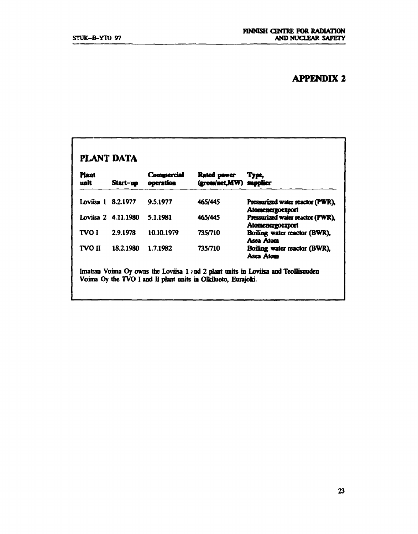### **APPENDIX 2**

| <b>Plant</b><br>unit | Start-up            | Commercial<br>operation | <b>Rated power</b><br>(gross/net,MW) supplier | Type,                                                       |
|----------------------|---------------------|-------------------------|-----------------------------------------------|-------------------------------------------------------------|
| Loviisa 1 8.2.1977   |                     | 9.5.1977                | 465/445                                       | Pressurized water reactor (PWR),<br><b>Atomenergoexport</b> |
|                      | Loviisa 2 4.11.1980 | 5.1.1981                | 465/445                                       | Pressurized water reactor (PWR),<br>Atomenergoexport        |
| TVO I                | 2.9.1978            | 10.10.1979              | 735/710                                       | Boiling water reactor (BWR),<br>Asea Atom                   |
| TVO II               | 18.2.1980           | 1.7.1982                | 735/710                                       | Boiling water reactor (BWR),<br>Asea Atom                   |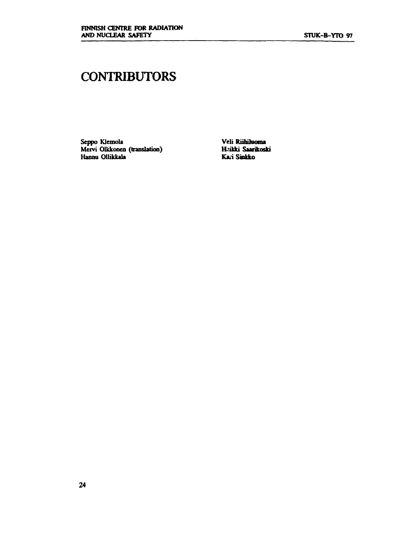## **CONTRIBUTORS**

**Seppo Klemola Mervi Olkkonen (translation) Hannu Ollikkala** 

**Veli RuhUaoma liekki Saarikoski Kari Sinkko**